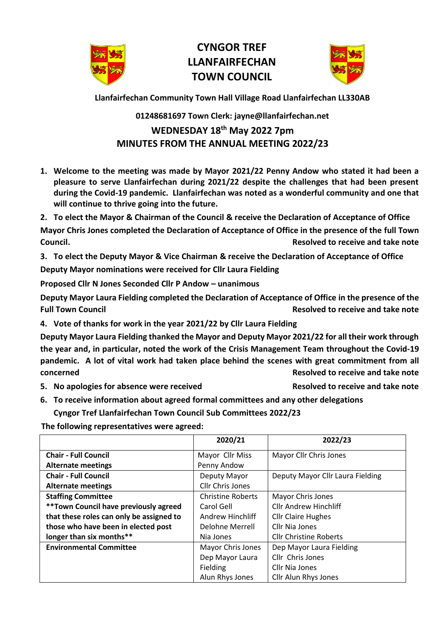

## **CYNGOR TREF LLANFAIRFECHAN TOWN COUNCIL**



**Llanfairfechan Community Town Hall Village Road Llanfairfechan LL330AB**

## **01248681697 Town Clerk: jayne@llanfairfechan.net**

## **WEDNESDAY 18 th May 2022 7pm MINUTES FROM THE ANNUAL MEETING 2022/23**

- **1. Welcome to the meeting was made by Mayor 2021/22 Penny Andow who stated it had been a pleasure to serve Llanfairfechan during 2021/22 despite the challenges that had been present during the Covid-19 pandemic. Llanfairfechan was noted as a wonderful community and one that will continue to thrive going into the future.**
- **2. To elect the Mayor & Chairman of the Council & receive the Declaration of Acceptance of Office**

**Mayor Chris Jones completed the Declaration of Acceptance of Office in the presence of the full Town Council. Resolved to receive and take note** 

**3. To elect the Deputy Mayor & Vice Chairman & receive the Declaration of Acceptance of Office**

**Deputy Mayor nominations were received for Cllr Laura Fielding** 

**Proposed Cllr N Jones Seconded Cllr P Andow – unanimous** 

**Deputy Mayor Laura Fielding completed the Declaration of Acceptance of Office in the presence of the Full Town Council Resolved to receive and take note**

**4. Vote of thanks for work in the year 2021/22 by Cllr Laura Fielding**

**Deputy Mayor Laura Fielding thanked the Mayor and Deputy Mayor 2021/22 for all their work through the year and, in particular, noted the work of the Crisis Management Team throughout the Covid-19 pandemic. A lot of vital work had taken place behind the scenes with great commitment from all concerned Resolved to receive and take note**

**5. No apologies for absence were received Resolved to receive and take note**

**6. To receive information about agreed formal committees and any other delegations Cyngor Tref Llanfairfechan Town Council Sub Committees 2022/23**

 **The following representatives were agreed:** 

|                                          | 2020/21                  | 2022/23                          |  |
|------------------------------------------|--------------------------|----------------------------------|--|
| <b>Chair - Full Council</b>              | Mayor Cllr Miss          | Mayor Cllr Chris Jones           |  |
| <b>Alternate meetings</b>                | Penny Andow              |                                  |  |
| <b>Chair - Full Council</b>              | Deputy Mayor             | Deputy Mayor Cllr Laura Fielding |  |
| <b>Alternate meetings</b>                | Cllr Chris Jones         |                                  |  |
| <b>Staffing Committee</b>                | <b>Christine Roberts</b> | Mayor Chris Jones                |  |
| ** Town Council have previously agreed   | Carol Gell               | <b>Cllr Andrew Hinchliff</b>     |  |
| that these roles can only be assigned to | Andrew Hinchliff         | <b>Cllr Claire Hughes</b>        |  |
| those who have been in elected post      | Delohne Merrell          | Cllr Nia Jones                   |  |
| longer than six months**                 | Nia Jones                | <b>Cllr Christine Roberts</b>    |  |
| <b>Environmental Committee</b>           | Mayor Chris Jones        | Dep Mayor Laura Fielding         |  |
|                                          | Dep Mayor Laura          | Cllr Chris Jones                 |  |
|                                          | Fielding                 | Cllr Nia Jones                   |  |
|                                          | Alun Rhys Jones          | <b>Cllr Alun Rhys Jones</b>      |  |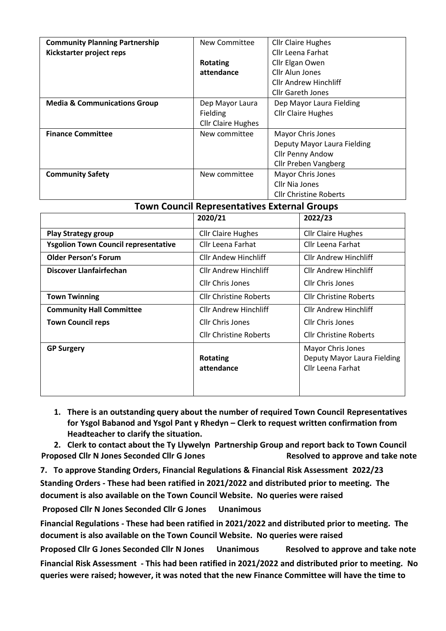| <b>Community Planning Partnership</b>   | New Committee             | <b>Cllr Claire Hughes</b>     |  |
|-----------------------------------------|---------------------------|-------------------------------|--|
| Kickstarter project reps                |                           | Cllr Leena Farhat             |  |
|                                         | <b>Rotating</b>           | Cllr Elgan Owen               |  |
|                                         | attendance                | Cllr Alun Jones               |  |
|                                         |                           | <b>Cllr Andrew Hinchliff</b>  |  |
|                                         |                           | <b>Cllr Gareth Jones</b>      |  |
| <b>Media &amp; Communications Group</b> | Dep Mayor Laura           | Dep Mayor Laura Fielding      |  |
|                                         | Fielding                  | <b>Cllr Claire Hughes</b>     |  |
|                                         | <b>Cllr Claire Hughes</b> |                               |  |
| <b>Finance Committee</b>                | New committee             | Mayor Chris Jones             |  |
|                                         |                           | Deputy Mayor Laura Fielding   |  |
|                                         |                           | Cllr Penny Andow              |  |
|                                         |                           | <b>Cllr Preben Vangberg</b>   |  |
| <b>Community Safety</b>                 | New committee             | Mayor Chris Jones             |  |
|                                         |                           | Cllr Nia Jones                |  |
|                                         |                           | <b>Cllr Christine Roberts</b> |  |

## **Town Council Representatives External Groups**

|                                             | 2020/21                       | 2022/23                                                               |
|---------------------------------------------|-------------------------------|-----------------------------------------------------------------------|
| <b>Play Strategy group</b>                  | <b>Cllr Claire Hughes</b>     | <b>Cllr Claire Hughes</b>                                             |
| <b>Ysgolion Town Council representative</b> | Cllr Leena Farhat             | Cllr Leena Farhat                                                     |
| <b>Older Person's Forum</b>                 | <b>Cllr Andew Hinchliff</b>   | <b>Cllr Andrew Hinchliff</b>                                          |
| <b>Discover Llanfairfechan</b>              | <b>Cllr Andrew Hinchliff</b>  | <b>Cllr Andrew Hinchliff</b>                                          |
|                                             | Cllr Chris Jones              | Cllr Chris Jones                                                      |
| <b>Town Twinning</b>                        | <b>Cllr Christine Roberts</b> | <b>Cllr Christine Roberts</b>                                         |
| <b>Community Hall Committee</b>             | <b>Cllr Andrew Hinchliff</b>  | <b>Cllr Andrew Hinchliff</b>                                          |
| <b>Town Council reps</b>                    | <b>Cllr Chris Jones</b>       | <b>Cllr Chris Jones</b>                                               |
|                                             | <b>Cllr Christine Roberts</b> | <b>Cllr Christine Roberts</b>                                         |
| <b>GP Surgery</b>                           | <b>Rotating</b><br>attendance | Mayor Chris Jones<br>Deputy Mayor Laura Fielding<br>Cllr Leena Farhat |

**1. There is an outstanding query about the number of required Town Council Representatives for Ysgol Babanod and Ysgol Pant y Rhedyn – Clerk to request written confirmation from Headteacher to clarify the situation.**

**2. Clerk to contact about the Ty Llywelyn Partnership Group and report back to Town Council Proposed Cllr N Jones Seconded Cllr G Jones Access Resolved to approve and take note** 

**7. To approve Standing Orders, Financial Regulations & Financial Risk Assessment 2022/23 Standing Orders - These had been ratified in 2021/2022 and distributed prior to meeting. The document is also available on the Town Council Website. No queries were raised** 

**Proposed Cllr N Jones Seconded Cllr G Jones Unanimous** 

**Financial Regulations - These had been ratified in 2021/2022 and distributed prior to meeting. The document is also available on the Town Council Website. No queries were raised** 

**Proposed Cllr G Jones Seconded Cllr N Jones Unanimous Resolved to approve and take note Financial Risk Assessment - This had been ratified in 2021/2022 and distributed prior to meeting. No queries were raised; however, it was noted that the new Finance Committee will have the time to**